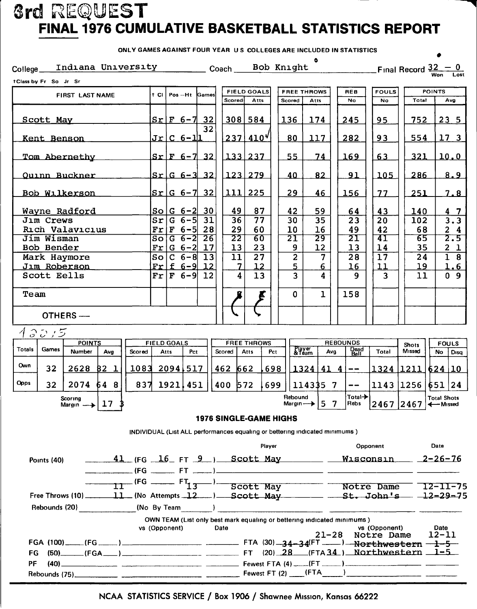## **3rd REQUEST** FINAL 1976 CUMULATIVE BASKETBALL STATISTICS REPORT

ONLY GAMES AGAINST FOUR YEAR U.S. COLLEGES ARE INCLUDED IN STATISTICS

 $\bullet$ 

| Indiana University<br>College_                                                                                                    |                                                                         | _ Coach                                        | Bob Knight                              |                                   | Final Record $\frac{32-0}{\text{Won}}$ Lost                                                  |  |  |  |  |  |
|-----------------------------------------------------------------------------------------------------------------------------------|-------------------------------------------------------------------------|------------------------------------------------|-----------------------------------------|-----------------------------------|----------------------------------------------------------------------------------------------|--|--|--|--|--|
| tClass by Fr So Jr Sr                                                                                                             |                                                                         |                                                |                                         |                                   |                                                                                              |  |  |  |  |  |
| FIRST LAST NAME                                                                                                                   | $t$ CI<br>$Pos - Ht$<br>Games                                           | <b>FIELD GOALS</b>                             | <b>FREE THROWS</b>                      | REB<br><b>FOULS</b>               | <b>POINTS</b>                                                                                |  |  |  |  |  |
|                                                                                                                                   |                                                                         | Scored<br>Atts                                 | Scored<br>Atts                          | No<br>No                          | Total<br>Avg                                                                                 |  |  |  |  |  |
| Scott May                                                                                                                         | $Sr F 6-7 32$<br>32                                                     | $308$ 584                                      | 136<br>174                              | 245<br>95                         | 23 <sub>5</sub><br>752                                                                       |  |  |  |  |  |
| Kent Benson                                                                                                                       | <u> Jr C 6-1 1</u>                                                      | $237$ 410 <sup>V</sup>                         | 117<br>80                               | 282<br>93                         | 17 <sub>3</sub><br>554                                                                       |  |  |  |  |  |
| Tom Abernethy                                                                                                                     | $Sr$ $F$ 6-7 32                                                         | 133 237                                        | 55<br>74                                | 169<br>63                         | 321<br>10.0                                                                                  |  |  |  |  |  |
| Ouinn Buckner                                                                                                                     | $sr G_6 - 3 32$                                                         | 123 279                                        | 40<br>82                                | 91<br>105                         | 8.9<br>286                                                                                   |  |  |  |  |  |
| <b>Bob Wilkerson</b>                                                                                                              | 32<br>$Sr G_6-7 $                                                       | 111<br>225                                     | 29<br>46                                | 77<br><u>156</u>                  | 251<br>7.8                                                                                   |  |  |  |  |  |
| Wayne Radford                                                                                                                     | So G 6-2 <br>30                                                         | 49<br>87                                       | 42<br>59                                | 43<br>64                          | 140<br>4 7                                                                                   |  |  |  |  |  |
| Jim Crews                                                                                                                         | Sr<br>31<br>$G \ 6 - 5$                                                 | 36<br>77                                       | 35<br>30                                | 23<br>20                          | 3.3<br>102                                                                                   |  |  |  |  |  |
| Rich Valavicius                                                                                                                   | $\mathbf{Fr} \mathbf{F}$ 6-5<br>28                                      | 29<br>60                                       | 10<br>16                                | 49<br>42                          | 68<br>24                                                                                     |  |  |  |  |  |
| Jim Wisman                                                                                                                        | $G_6 - 2$<br>$\overline{26}$<br>So                                      | 22<br>60                                       | 29<br>21                                | 21<br>41                          | 65<br>2.5                                                                                    |  |  |  |  |  |
| Bob Bender<br>Mark Haymore                                                                                                        | $Fr G 6-2  17$<br>$\overline{13}$<br>$C$ 6-8<br>So                      | 13<br>23<br>$\overline{11}$<br>$\overline{27}$ | 9<br>12<br>$\overline{\mathbf{c}}$<br>7 | 13<br>14<br>$\overline{17}$<br>28 | 35<br>$\mathbf{2}$<br>$\mathbf{1}$<br>ı<br>8<br>24                                           |  |  |  |  |  |
| Jim Roberson                                                                                                                      | $Frf$ 6-9<br>12                                                         | 12                                             | 5<br><u>6</u>                           | 11<br>16                          | 19<br>1.6                                                                                    |  |  |  |  |  |
| Scott Eells                                                                                                                       | 12<br>$Fr F 6-9 $                                                       | 4<br>13                                        | 3<br>4                                  | 3<br>9                            | 0 <sub>9</sub><br>11                                                                         |  |  |  |  |  |
| Team                                                                                                                              |                                                                         | E                                              | $\mathbf{1}$<br>$\mathbf{O}$            | 158                               |                                                                                              |  |  |  |  |  |
| OTHERS-                                                                                                                           |                                                                         |                                                |                                         |                                   |                                                                                              |  |  |  |  |  |
| 13015                                                                                                                             |                                                                         |                                                |                                         |                                   |                                                                                              |  |  |  |  |  |
| <b>POINTS</b>                                                                                                                     | <b>FIELD GOALS</b>                                                      | <b>FREE THROWS</b>                             |                                         | <b>REBOUNDS</b>                   | <b>FOULS</b><br><b>Shots</b>                                                                 |  |  |  |  |  |
| <b>Totals</b><br><b>Games</b><br><b>Number</b><br>Scored<br>Avg                                                                   | Pct<br>Atts                                                             | Scored<br><b>Atts</b>                          | Player<br>& Team<br>Pct<br>Avg          | Dead<br>Ball<br>Total             | Missed<br>No<br>Disa                                                                         |  |  |  |  |  |
| Own<br>32<br>$2628$ $82$ 1                                                                                                        | $1083$ 2094, 517                                                        | 462 662<br>698                                 | $1324   41 4   --$                      |                                   | $1324$ $1211$ $624$ $10$                                                                     |  |  |  |  |  |
| <b>Opps</b><br>32<br>2074<br>837<br>64 8                                                                                          | $1921$ , 451                                                            | 572<br>400<br>699                              | 114335 7                                | --                                | 1143 1256<br> 24<br>651                                                                      |  |  |  |  |  |
| Scoring<br>Margin $\rightarrow$ 17 \$                                                                                             |                                                                         |                                                | Rebound                                 | <b>Total</b> →                    | <b>Total Shots</b><br>Margin $\rightarrow$ 5 7   Rebs 2467 2467 $\rightarrow$ 10th Situation |  |  |  |  |  |
|                                                                                                                                   |                                                                         | <b>1976 SINGLE-GAME HIGHS</b>                  |                                         |                                   |                                                                                              |  |  |  |  |  |
| INDIVIDUAL (List ALL performances equaling or bettering indicated minimums)                                                       |                                                                         |                                                |                                         |                                   |                                                                                              |  |  |  |  |  |
|                                                                                                                                   |                                                                         | Player                                         |                                         | <b>Opponent Company</b>           | Date                                                                                         |  |  |  |  |  |
| Points (40)                                                                                                                       |                                                                         |                                                |                                         |                                   | 41 (FG 16 FT 9 ) Scott May _____ Wisconsin 2-26-76                                           |  |  |  |  |  |
|                                                                                                                                   |                                                                         |                                                |                                         |                                   |                                                                                              |  |  |  |  |  |
|                                                                                                                                   |                                                                         |                                                |                                         |                                   | $\frac{11}{11}$ (FG ----- FT <sub>13</sub> ) Scott May Notre Dame 12-11-75                   |  |  |  |  |  |
| Free Throws (10) ______11_(No Attempts _12___) Scott May _____ __St. John's __ 12-29-75                                           |                                                                         |                                                |                                         |                                   |                                                                                              |  |  |  |  |  |
|                                                                                                                                   |                                                                         |                                                |                                         |                                   |                                                                                              |  |  |  |  |  |
|                                                                                                                                   | OWN TEAM (List only best mark equaling or bettering indicated minimums) |                                                |                                         |                                   |                                                                                              |  |  |  |  |  |
|                                                                                                                                   | vs (Opponent)                                                           | Date                                           |                                         | vs (Opponent)                     | Date<br>21-28 Notre Dame 12-11                                                               |  |  |  |  |  |
|                                                                                                                                   |                                                                         |                                                |                                         |                                   |                                                                                              |  |  |  |  |  |
| $(50)$ (FGA ) $\longrightarrow$ $\longrightarrow$ $\longrightarrow$ $\longrightarrow$ FT (20) 28 (FTA 34) Northwestern 1-5<br>FG. |                                                                         |                                                |                                         |                                   |                                                                                              |  |  |  |  |  |
| $(40)$ $(40)$<br>PF                                                                                                               |                                                                         |                                                |                                         |                                   |                                                                                              |  |  |  |  |  |
|                                                                                                                                   |                                                                         |                                                |                                         |                                   |                                                                                              |  |  |  |  |  |

NCAA STATISTICS SERVICE / Box 1906 / Shawnee Mission, Kansas 66222